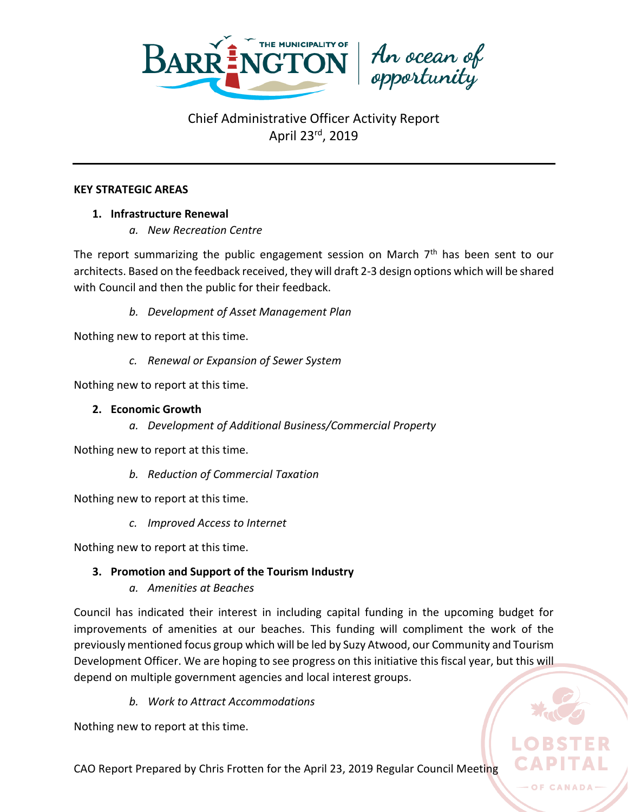

#### **KEY STRATEGIC AREAS**

## **1. Infrastructure Renewal**

*a. New Recreation Centre*

The report summarizing the public engagement session on March  $7<sup>th</sup>$  has been sent to our architects. Based on the feedback received, they will draft 2-3 design options which will be shared with Council and then the public for their feedback.

*b. Development of Asset Management Plan*

Nothing new to report at this time.

*c. Renewal or Expansion of Sewer System*

Nothing new to report at this time.

### **2. Economic Growth**

*a. Development of Additional Business/Commercial Property*

Nothing new to report at this time.

*b. Reduction of Commercial Taxation*

Nothing new to report at this time.

*c. Improved Access to Internet*

Nothing new to report at this time.

## **3. Promotion and Support of the Tourism Industry**

*a. Amenities at Beaches*

Council has indicated their interest in including capital funding in the upcoming budget for improvements of amenities at our beaches. This funding will compliment the work of the previously mentioned focus group which will be led by Suzy Atwood, our Community and Tourism Development Officer. We are hoping to see progress on this initiative this fiscal year, but this will depend on multiple government agencies and local interest groups.

*b. Work to Attract Accommodations*

Nothing new to report at this time.

CAO Report Prepared by Chris Frotten for the April 23, 2019 Regular Council Meeting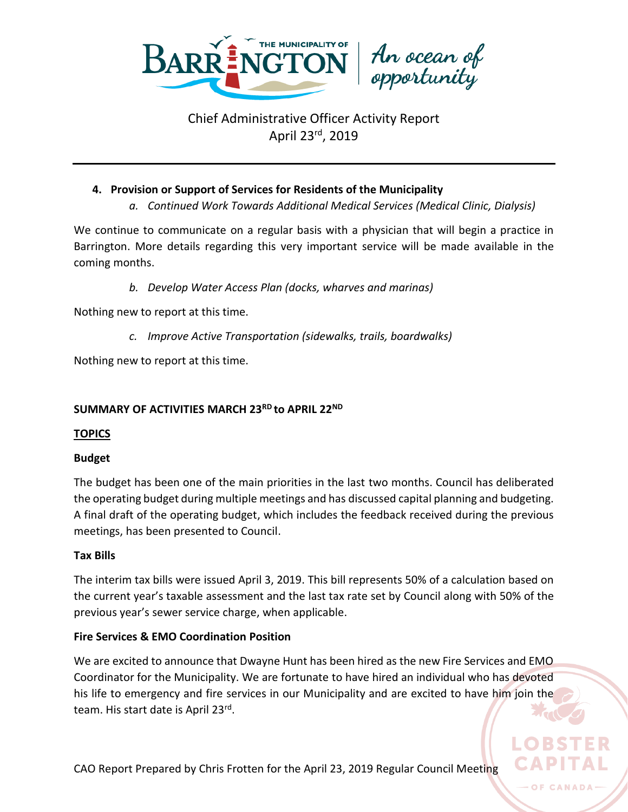

### **4. Provision or Support of Services for Residents of the Municipality**

*a. Continued Work Towards Additional Medical Services (Medical Clinic, Dialysis)*

We continue to communicate on a regular basis with a physician that will begin a practice in Barrington. More details regarding this very important service will be made available in the coming months.

*b. Develop Water Access Plan (docks, wharves and marinas)*

Nothing new to report at this time.

*c. Improve Active Transportation (sidewalks, trails, boardwalks)*

Nothing new to report at this time.

## **SUMMARY OF ACTIVITIES MARCH 23RD to APRIL 22ND**

### **TOPICS**

### **Budget**

The budget has been one of the main priorities in the last two months. Council has deliberated the operating budget during multiple meetings and has discussed capital planning and budgeting. A final draft of the operating budget, which includes the feedback received during the previous meetings, has been presented to Council.

### **Tax Bills**

The interim tax bills were issued April 3, 2019. This bill represents 50% of a calculation based on the current year's taxable assessment and the last tax rate set by Council along with 50% of the previous year's sewer service charge, when applicable.

### **Fire Services & EMO Coordination Position**

We are excited to announce that Dwayne Hunt has been hired as the new Fire Services and EMO Coordinator for the Municipality. We are fortunate to have hired an individual who has devoted his life to emergency and fire services in our Municipality and are excited to have him join the team. His start date is April 23<sup>rd</sup>.

OF CANADA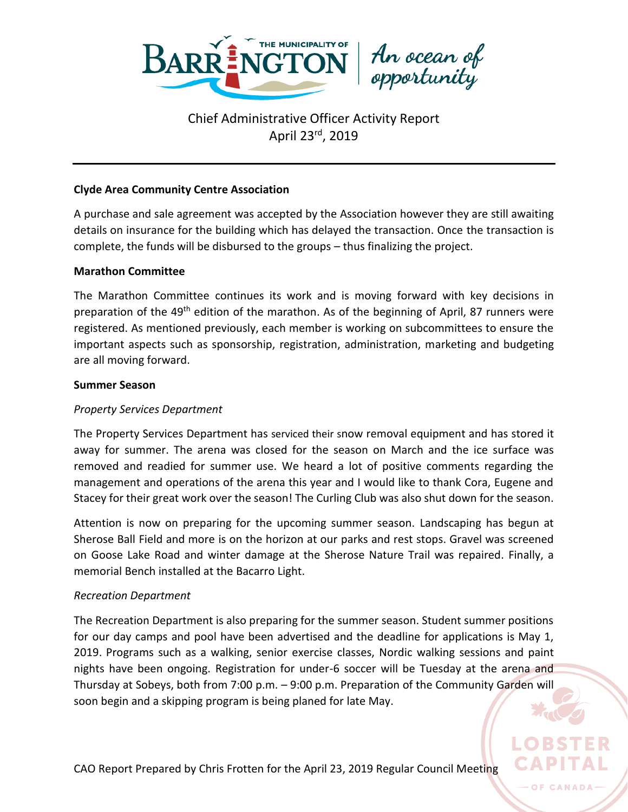

#### **Clyde Area Community Centre Association**

A purchase and sale agreement was accepted by the Association however they are still awaiting details on insurance for the building which has delayed the transaction. Once the transaction is complete, the funds will be disbursed to the groups – thus finalizing the project.

#### **Marathon Committee**

The Marathon Committee continues its work and is moving forward with key decisions in preparation of the 49<sup>th</sup> edition of the marathon. As of the beginning of April, 87 runners were registered. As mentioned previously, each member is working on subcommittees to ensure the important aspects such as sponsorship, registration, administration, marketing and budgeting are all moving forward.

#### **Summer Season**

#### *Property Services Department*

The Property Services Department has serviced their snow removal equipment and has stored it away for summer. The arena was closed for the season on March and the ice surface was removed and readied for summer use. We heard a lot of positive comments regarding the management and operations of the arena this year and I would like to thank Cora, Eugene and Stacey for their great work over the season! The Curling Club was also shut down for the season.

Attention is now on preparing for the upcoming summer season. Landscaping has begun at Sherose Ball Field and more is on the horizon at our parks and rest stops. Gravel was screened on Goose Lake Road and winter damage at the Sherose Nature Trail was repaired. Finally, a memorial Bench installed at the Bacarro Light.

#### *Recreation Department*

The Recreation Department is also preparing for the summer season. Student summer positions for our day camps and pool have been advertised and the deadline for applications is May 1, 2019. Programs such as a walking, senior exercise classes, Nordic walking sessions and paint nights have been ongoing. Registration for under-6 soccer will be Tuesday at the arena and Thursday at Sobeys, both from 7:00 p.m. – 9:00 p.m. Preparation of the Community Garden will soon begin and a skipping program is being planed for late May.

OF CANADA